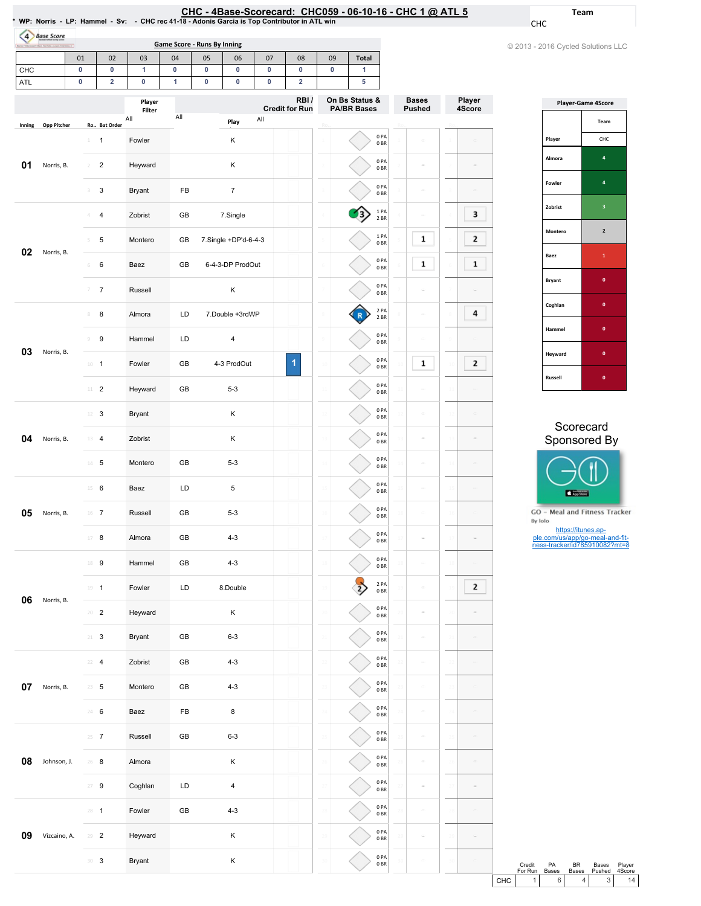| CHC - 4Base-Scorecard: CHC059 - 06-10-16 - CHC 1 $\omega$ ATL 5                               |  |
|-----------------------------------------------------------------------------------------------|--|
| NP: Norris - LP: Hammel - Sv: - CHC rec 41-18 - Adonis Garcia is Top Contributor in ATL win * |  |

Game Score - Runs By Inning

4 Base Score

CHC

© 2013 - 2016 Cycled Solutions LLC

Team

|            |                   | 01                            | 02                      | 03                 | 04           | 05                          | 06                   | 07          | 08                            | 09                                   | <b>Total</b>           |                                           |                 |                               |                  |
|------------|-------------------|-------------------------------|-------------------------|--------------------|--------------|-----------------------------|----------------------|-------------|-------------------------------|--------------------------------------|------------------------|-------------------------------------------|-----------------|-------------------------------|------------------|
| CHC        |                   | $\pmb{0}$                     | 0                       | 1                  | $\pmb{0}$    | $\pmb{0}$                   | $\pmb{0}$            | $\pmb{0}$   | 0                             | $\pmb{0}$                            | $\mathbf{1}$           |                                           |                 |                               |                  |
| <b>ATL</b> |                   | 0                             | $\overline{\mathbf{2}}$ | 0                  | $\mathbf{1}$ | $\pmb{0}$<br>$\pmb{0}$<br>0 |                      | $\mathbf 2$ |                               | 5                                    |                        |                                           |                 |                               |                  |
|            |                   |                               |                         | Player<br>Filter   |              |                             |                      |             | RBI/<br><b>Credit for Run</b> | On Bs Status &<br><b>PA/BR Bases</b> |                        |                                           |                 | <b>Bases</b><br><b>Pushed</b> | Player<br>4Score |
| Inning     | Opp Pitcher       |                               | Ro Bat Order            | All                | All          |                             | Play                 | All         |                               |                                      |                        |                                           |                 |                               |                  |
|            |                   | $\perp$                       | $\mathbf{1}$            | Fowler             |              |                             | Κ                    |             |                               |                                      |                        | 0PA<br>0 <sub>BR</sub>                    |                 |                               |                  |
| 01         | Norris, B.        | $\sqrt{2}$                    | $\overline{c}$          | Heyward            |              |                             | Κ                    |             |                               |                                      |                        | 0PA<br>0 <sub>BR</sub>                    |                 |                               |                  |
|            |                   | 3                             | 3                       | <b>Bryant</b>      | FB           | $\boldsymbol{7}$            |                      |             |                               |                                      |                        | 0PA<br>0 <sub>BR</sub>                    |                 |                               |                  |
|            |                   | 4                             | $\overline{4}$          | Zobrist            | GB           |                             | 7.Single             |             |                               |                                      |                        | 1PA<br>2 BR                               |                 |                               | 3                |
| 02         | Norris, B.        | 5                             | 5                       | Montero            | GB           |                             | 7.Single +DP'd-6-4-3 |             |                               |                                      |                        | 1PA<br>0 <sub>BR</sub>                    |                 | 1                             | 2                |
|            |                   | $\,$ 6                        | 6                       | Baez               | GB           |                             | 6-4-3-DP ProdOut     |             |                               |                                      |                        | 0PA<br>0 <sub>BR</sub>                    |                 | 1                             | $\mathbf 1$      |
|            |                   | 7                             | $\boldsymbol{7}$        | Russell            |              | Κ                           |                      |             |                               |                                      |                        | 0PA<br>0 <sub>BR</sub>                    |                 |                               |                  |
|            |                   | $\,$ $\,$                     | 8                       | Almora             | LD           |                             | 7.Double +3rdWP      |             |                               |                                      |                        | 2 PA<br>2 BR                              |                 |                               | 4                |
| 03         | Norris, B.        | $\circ$                       | 9                       | Hammel             | LD           |                             | $\sqrt{4}$           |             |                               |                                      |                        | 0PA<br>0 <sub>BR</sub>                    |                 |                               |                  |
|            |                   | $10 -$                        | $\overline{1}$          | Fowler             | GB           |                             | 4-3 ProdOut          |             | 1                             |                                      |                        | 0PA<br>0 <sub>BR</sub>                    |                 | 1                             | 2                |
|            |                   | 11                            | $\overline{2}$          | Heyward            | GB           |                             | $5 - 3$              |             |                               |                                      |                        | 0PA<br>0 <sub>BR</sub>                    | Ė               |                               |                  |
|            | 12<br>3<br>Bryant |                               |                         |                    |              | Κ                           |                      |             |                               |                                      | 0PA<br>0 <sub>BR</sub> |                                           |                 |                               |                  |
| 04         | Norris, B.        | 13                            | $\overline{4}$          | Zobrist            |              |                             | Κ                    |             |                               |                                      |                        | 0PA<br>0 <sub>BR</sub>                    |                 |                               |                  |
|            |                   | $14 -$                        | 5                       | Montero            | GB           |                             | $5 - 3$              |             |                               |                                      |                        | 0PA<br>0 <sub>BR</sub>                    |                 |                               |                  |
|            |                   | $15 -$                        | 6                       | Baez               | LD           |                             | $\mathbf 5$          |             |                               |                                      |                        | 0PA<br>0 <sub>BR</sub><br>0PA             |                 |                               |                  |
| 05         | Norris, B.        | 16                            | $\overline{7}$          | Russell            | GB           |                             | $5 - 3$              |             |                               |                                      |                        | 0 <sub>BR</sub><br>0PA                    | 16              |                               |                  |
|            |                   | 17                            | 8                       | Almora             | GB           |                             | $4 - 3$              |             |                               |                                      |                        | 0 <sub>BR</sub><br>0PA                    |                 |                               |                  |
|            |                   | 18                            | 9                       | Hammel             | GB           |                             | $4 - 3$              |             |                               |                                      |                        | 0 <sub>BR</sub><br>2 PA                   |                 |                               |                  |
| 06         | Norris, B.        | $19 - 1$                      |                         | Fowler             | LD           |                             | 8.Double             |             |                               |                                      |                        | 0 <sub>BR</sub><br>0PA                    |                 |                               | 2                |
|            |                   | $20 - 2$                      |                         | Heyward            |              |                             | Κ                    |             |                               |                                      |                        | 0 <sub>BR</sub><br>0PA                    |                 |                               |                  |
|            |                   | $21 -$<br>22                  | $\mathbf{3}$            | Bryant             | GB           |                             | $6 - 3$              |             |                               |                                      |                        | 0 <sub>BR</sub><br>0PA                    |                 |                               |                  |
| 07         | Norris, B.        | $23 - 5$                      | $\overline{4}$          | Zobrist<br>Montero | GB<br>GB     |                             | $4 - 3$<br>$4 - 3$   |             |                               |                                      |                        | 0 <sub>BR</sub><br>0PA                    |                 |                               |                  |
|            |                   | 24 6                          |                         | Baez               | FB           |                             | 8                    |             |                               |                                      |                        | 0 <sub>BR</sub><br>0PA                    |                 |                               |                  |
|            |                   | $25 - 7$                      |                         | Russell            | GB           |                             | $6 - 3$              |             |                               |                                      |                        | 0 <sub>BR</sub><br>0PA                    |                 |                               |                  |
| 08         | Johnson, J.       | $26$ 8                        |                         | Almora             |              |                             | Κ                    |             |                               |                                      |                        | 0 <sub>BR</sub><br>0PA                    |                 |                               |                  |
|            |                   | $27 - 9$                      |                         | Coghlan            | LD           |                             | $\pmb{4}$            |             |                               |                                      |                        | 0 <sub>BR</sub><br>0PA                    |                 |                               |                  |
|            |                   | $28 - 1$                      |                         | Fowler             | GB           |                             | $4 - 3$              |             |                               |                                      |                        | 0 <sub>BR</sub><br>0PA<br>0 <sub>BR</sub> |                 |                               |                  |
| 09         | Vizcaino, A.      | 29                            | $\overline{2}$          | Heyward            |              |                             | Κ                    |             |                               |                                      |                        | 0PA                                       | $\overline{25}$ |                               |                  |
|            |                   | $\mathbb{B}^0$ – $\mathbf{3}$ |                         | Bryant             |              |                             | Κ                    |             |                               |                                      |                        | 0 <sub>BR</sub><br>0PA                    | ŝ.              |                               |                  |
|            |                   |                               |                         |                    |              |                             |                      |             |                               |                                      |                        | 0 <sub>BR</sub>                           |                 |                               |                  |

| <b>Player-Game 4Score</b> |                |  |  |  |  |  |  |  |
|---------------------------|----------------|--|--|--|--|--|--|--|
|                           | Team           |  |  |  |  |  |  |  |
| Player                    | CHC            |  |  |  |  |  |  |  |
| Almora                    | 4              |  |  |  |  |  |  |  |
| Fowler                    | 4              |  |  |  |  |  |  |  |
| Zobrist                   | 3              |  |  |  |  |  |  |  |
| Montero                   | $\overline{2}$ |  |  |  |  |  |  |  |
| Baez                      | $\mathbf{1}$   |  |  |  |  |  |  |  |
| <b>Bryant</b>             | $\mathbf{0}$   |  |  |  |  |  |  |  |
| Coghlan                   | $\mathbf{0}$   |  |  |  |  |  |  |  |
| Hammel                    | $\mathbf{0}$   |  |  |  |  |  |  |  |
| Heyward                   | $\bf{0}$       |  |  |  |  |  |  |  |
| Russell                   | 0              |  |  |  |  |  |  |  |

### Scorecard Sponsored By



GO - Meal and Fitness Tracker  $\mathsf{By}\ \mathsf{lolo}$ 

https://itunes.ap-ple.com/us/app/go-meal-and-fit-ness-tracker/id785910082?mt=8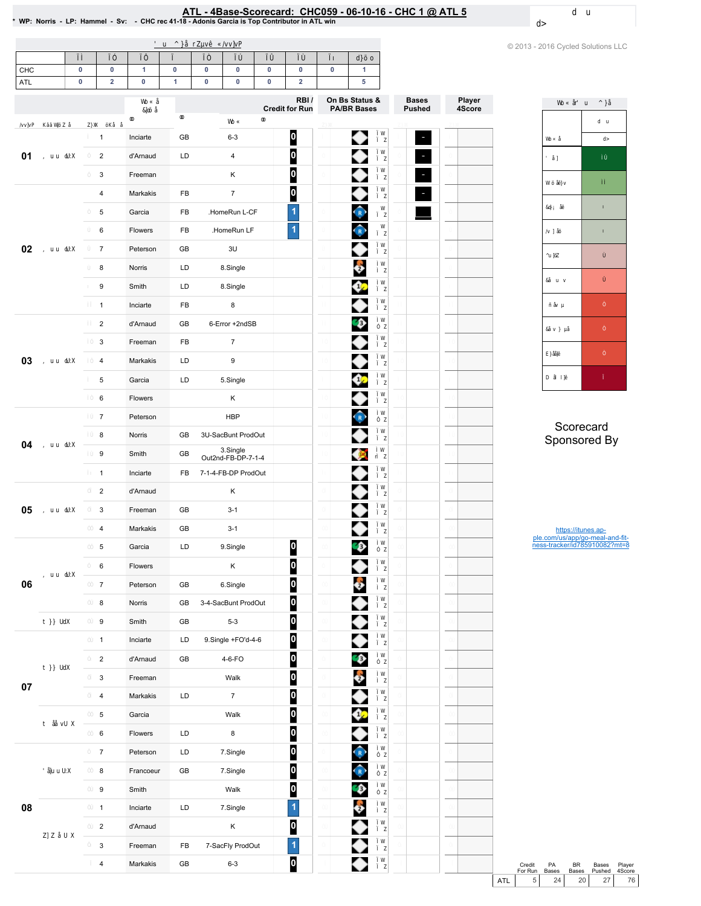# **ATL - 4Base-Scorecard: CHC059 - 06-10-16 - CHC 1 @ ATL 5**<br>\* WP: Norris - LP: Hammel - Sv: - CHC rec 41-18 - Adonis Garcia is Top Contributor in ATL win

|     |             |                           |             |           |          |                     |           |                               |             |                                      |                          |                  | © 2013 - 2016 Cycled Solutions LLC                    |
|-----|-------------|---------------------------|-------------|-----------|----------|---------------------|-----------|-------------------------------|-------------|--------------------------------------|--------------------------|------------------|-------------------------------------------------------|
| CHC | $\pmb{0}$   | $\mathbf 0$               | 1           | $\pmb{0}$ | $\bf{0}$ | $\mathbf 0$         | $\pmb{0}$ | $\pmb{0}$                     | $\mathbf 0$ | $\blacktriangleleft$                 |                          |                  |                                                       |
| ATL | $\mathbf 0$ | $\overline{2}$            | $\mathbf 0$ | 1         | $\bf{0}$ | $\mathbf 0$         | $\pmb{0}$ | $\overline{2}$                |             | 5                                    |                          |                  |                                                       |
|     |             |                           |             |           |          |                     |           | RBI/<br><b>Credit for Run</b> |             | On Bs Status &<br><b>PA/BR Bases</b> | <b>Bases</b><br>Pushed   | Player<br>4Score |                                                       |
|     |             |                           |             |           |          |                     |           |                               |             |                                      |                          |                  |                                                       |
|     |             | $\mathbf{1}$              | Inciarte    | GB        |          | $6 - 3$             |           | $\boldsymbol{0}$              |             | ◆                                    | $\overline{\phantom{a}}$ |                  |                                                       |
| 01  |             | $\overline{c}$            | d'Arnaud    | LD        |          | 4                   |           | $\overline{\mathbf{0}}$       |             | ◆                                    | ٠                        |                  |                                                       |
|     |             | $\ensuremath{\mathsf{3}}$ | Freeman     |           |          | Κ                   |           | $\bf{0}$                      |             | ◆                                    | $\overline{\phantom{a}}$ |                  |                                                       |
|     |             | 4                         | Markakis    | FB        |          | $\overline{7}$      |           | $\bf{0}$                      |             |                                      | Ξ                        |                  |                                                       |
|     |             | 5                         | Garcia      | FB        |          | .HomeRun L-CF       |           | $\overline{\mathbf{1}}$       |             | $\widehat{\mathbf{r}}$               |                          |                  |                                                       |
|     |             | 6                         | Flowers     | FB        |          | .HomeRun LF         |           | $\overline{1}$                |             | $\hat{R}$                            |                          |                  |                                                       |
| 02  |             | $\boldsymbol{7}$          | Peterson    | GB        |          | 3U                  |           |                               |             |                                      |                          |                  |                                                       |
|     |             | 8                         | Norris      | LD        |          | 8.Single            |           |                               |             | ê                                    |                          |                  |                                                       |
|     |             | 9                         | Smith       | LD        |          | 8.Single            |           |                               |             | ¢                                    |                          |                  |                                                       |
|     |             | $\mathbf{1}$              | Inciarte    | FB        |          | 8                   |           |                               |             | ◆                                    |                          |                  |                                                       |
|     |             | $\sqrt{2}$                | d'Arnaud    | GB        |          | 6-Error +2ndSB      |           |                               |             | $\bullet$                            |                          |                  |                                                       |
|     |             | 3                         | Freeman     | FB        |          | $\boldsymbol{7}$    |           |                               |             | ◆                                    |                          |                  |                                                       |
| 03  |             | $\overline{4}$            | Markakis    | LD        |          | 9                   |           |                               |             |                                      |                          |                  |                                                       |
|     |             | $\,$ 5 $\,$               | Garcia      | LD        |          | 5.Single            |           |                               |             | ⇔                                    |                          |                  |                                                       |
|     |             | 6                         | Flowers     |           |          | Κ                   |           |                               |             |                                      |                          |                  |                                                       |
| 04  |             | $\overline{7}$            | Peterson    |           |          | <b>HBP</b>          |           |                               |             | $\hat{R}$                            |                          |                  |                                                       |
|     |             | 8                         | Norris      | GB        |          | 3U-SacBunt ProdOut  |           |                               |             | ◆                                    |                          |                  | Scorecard                                             |
|     |             |                           | Smith       | GB        |          | 3.Single            |           |                               |             |                                      |                          |                  | Sponsored By                                          |
|     |             | $\boldsymbol{9}$          |             |           |          | Out2nd-FB-DP-7-1-4  |           |                               |             | ۱                                    |                          |                  |                                                       |
|     |             | $\mathbf{1}$              | Inciarte    | <b>FB</b> |          | 7-1-4-FB-DP ProdOut |           |                               |             | ◆                                    |                          |                  |                                                       |
|     |             | $\mathbf 2$               | d'Arnaud    |           |          | Κ                   |           |                               |             | ◆                                    |                          |                  |                                                       |
| 05  |             | $\mathsf 3$               | Freeman     | GB        |          | $3 - 1$             |           |                               |             |                                      |                          |                  |                                                       |
|     |             | $\overline{4}$            | Markakis    | GB        |          | $3 - 1$             |           |                               |             | ♦                                    |                          |                  | https://itunes.ap-<br>ple.com/us/app/go-meal-and-fit- |
|     |             | 5                         | Garcia      | LD        |          | 9.Single            |           | 0                             |             | $\bullet$                            |                          |                  | ness-tracker/id785910082?mt=8                         |
|     |             | 6                         | Flowers     |           |          | Κ                   |           | $\bullet$                     |             | ◆                                    |                          |                  |                                                       |
| 06  |             | $\overline{7}$            | Peterson    | GB        |          | 6.Single            |           | 0                             |             | Ô                                    |                          |                  |                                                       |
|     |             | 8                         | Norris      | GB        |          | 3-4-SacBunt ProdOut |           | $\boldsymbol{0}$              |             | ◆                                    |                          |                  |                                                       |
|     |             | $\boldsymbol{9}$          | Smith       | GB        |          | $5 - 3$             |           | $\bullet$                     |             | ◆                                    |                          |                  |                                                       |
|     |             | $\mathbf{1}$              | Inciarte    | LD        |          | 9.Single +FO'd-4-6  |           | $\overline{\mathbf{0}}$       |             | ◆                                    |                          |                  |                                                       |
|     |             | $\overline{2}$            | d'Arnaud    | GB        |          | 4-6-FO              |           | $\bf{0}$                      |             | $\bullet$                            |                          |                  |                                                       |
|     |             | 3                         | Freeman     |           |          | Walk                |           | $\boldsymbol{0}$              |             | ¢                                    |                          |                  |                                                       |
| 07  |             | $\overline{4}$            | Markakis    | LD        |          | $\overline{7}$      |           | $\bf{0}$                      |             | ◆                                    |                          |                  |                                                       |
|     |             | $\,$ 5 $\,$               | Garcia      |           |          | Walk                |           | $\boldsymbol{0}$              |             | Ø                                    |                          |                  |                                                       |
|     |             | $\,6\,$                   | Flowers     | LD        |          | $\bf 8$             |           | $\boldsymbol{0}$              |             | ♦                                    |                          |                  |                                                       |
|     |             | $\overline{7}$            | Peterson    | LD        |          | 7.Single            |           | $\boldsymbol{0}$              |             | $\hat{R}$                            |                          |                  |                                                       |
|     |             | 8                         | Francoeur   | GB        |          | 7.Single            |           | $\boldsymbol{0}$              |             | $\hat{P}$                            |                          |                  |                                                       |
|     |             | 9                         | Smith       |           |          | Walk                |           | $\boldsymbol{0}$              |             | $\bullet$                            |                          |                  |                                                       |
| 08  |             | $\mathbf{1}$              | Inciarte    | LD        |          | 7.Single            |           | $\blacktriangleleft$          |             | $\ddot{\bullet}$                     |                          |                  |                                                       |
|     |             | $\sqrt{2}$                | d'Arnaud    |           |          | Κ                   |           | $\boldsymbol{0}$              |             | ◆                                    |                          |                  |                                                       |
|     |             | $\ensuremath{\mathsf{3}}$ | Freeman     | FB        |          | 7-SacFly ProdOut    |           | $\blacktriangleleft$          |             | ◆                                    |                          |                  |                                                       |
|     |             | $\overline{4}$            | Markakis    | GB        |          | $6 - 3$             |           | $\mathbf{0}$                  |             | ♦                                    |                          |                  | PA<br><b>BR</b><br>Credit<br>Bases<br>Player          |

Credit PA BR Bases Player<br>For Run Bases Bases Pushed 4Score<br>ATL 5 24 20 27 76

Player 4Score

 $LLC$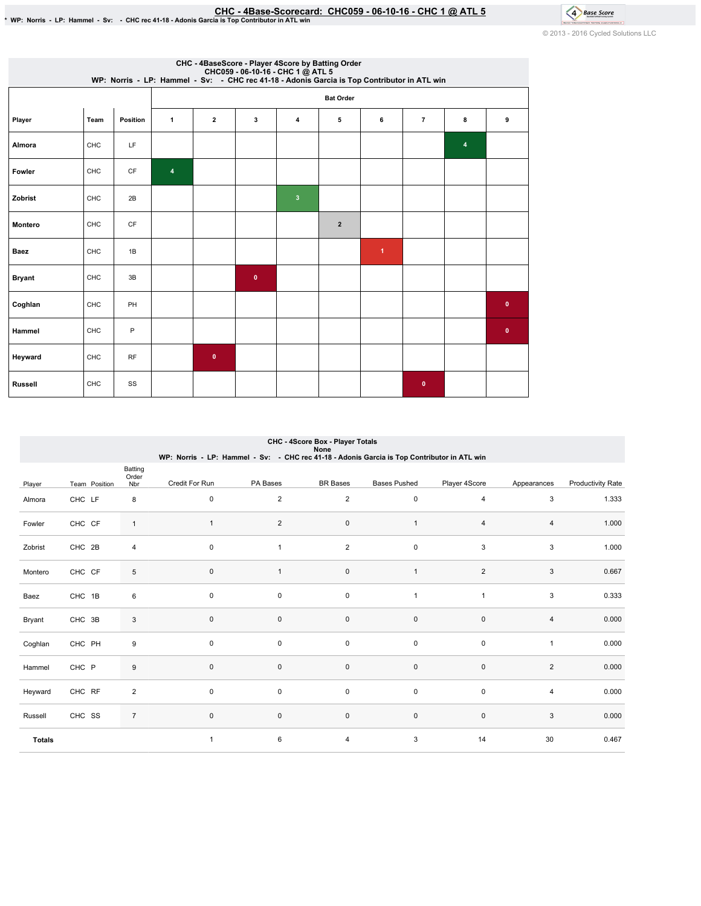EHC - 4Base-Scorecard: CHC059 - 06-10-16 - CHC 1 @ ATL 5 ^ 8 . ^ CHC1 + CHC1 + CHC1 + CHC 1 + CHC + CHC + CHC<br>\* WP: Norris - LP: Hammel - Sv: - CHC rec 41-18 - Adonis Garcia is Top Contributor in ATL win

© 2013 - 2016 Cycled Solutions LLC

4 Base Score

| CHC - 4BaseScore - Player 4Score by Batting Order<br>CHC059 - 06-10-16 - CHC 1 @ ATL 5<br>WP: Norris - LP: Hammel - Sv: - CHC rec 41-18 - Adonis Garcia is Top Contributor in ATL win |      |          |                         |                  |           |                         |                |              |                |                         |             |  |  |  |
|---------------------------------------------------------------------------------------------------------------------------------------------------------------------------------------|------|----------|-------------------------|------------------|-----------|-------------------------|----------------|--------------|----------------|-------------------------|-------------|--|--|--|
|                                                                                                                                                                                       |      |          |                         | <b>Bat Order</b> |           |                         |                |              |                |                         |             |  |  |  |
| Player                                                                                                                                                                                | Team | Position | $\mathbf{1}$            | $\overline{2}$   | 3         | $\overline{4}$          | 5              | 6            | $\overline{7}$ | 8                       | 9           |  |  |  |
| Almora                                                                                                                                                                                | CHC  | LF       |                         |                  |           |                         |                |              |                | $\overline{\mathbf{4}}$ |             |  |  |  |
| Fowler                                                                                                                                                                                | CHC  | CF       | $\overline{\mathbf{4}}$ |                  |           |                         |                |              |                |                         |             |  |  |  |
| Zobrist                                                                                                                                                                               | CHC  | 2B       |                         |                  |           | $\overline{\mathbf{3}}$ |                |              |                |                         |             |  |  |  |
| <b>Montero</b>                                                                                                                                                                        | CHC  | CF       |                         |                  |           |                         | $\overline{2}$ |              |                |                         |             |  |  |  |
| Baez                                                                                                                                                                                  | CHC  | 1B       |                         |                  |           |                         |                | $\mathbf{1}$ |                |                         |             |  |  |  |
| <b>Bryant</b>                                                                                                                                                                         | CHC  | 3B       |                         |                  | $\pmb{0}$ |                         |                |              |                |                         |             |  |  |  |
| Coghlan                                                                                                                                                                               | CHC  | PH       |                         |                  |           |                         |                |              |                |                         | $\mathbf 0$ |  |  |  |
| Hammel                                                                                                                                                                                | CHC  | P        |                         |                  |           |                         |                |              |                |                         | $\mathbf 0$ |  |  |  |
| Heyward                                                                                                                                                                               | CHC  | RF       |                         | $\bullet$        |           |                         |                |              |                |                         |             |  |  |  |
| <b>Russell</b>                                                                                                                                                                        | CHC  | SS       |                         |                  |           |                         |                |              | $\mathbf{0}$   |                         |             |  |  |  |

|               | CHC - 4Score Box - Player Totals<br>None |                |                                                                                             |                |                     |                     |                |                |                          |  |  |  |
|---------------|------------------------------------------|----------------|---------------------------------------------------------------------------------------------|----------------|---------------------|---------------------|----------------|----------------|--------------------------|--|--|--|
|               |                                          |                | WP: Norris - LP: Hammel - Sv: - CHC rec 41-18 - Adonis Garcia is Top Contributor in ATL win |                |                     |                     |                |                |                          |  |  |  |
|               |                                          | Batting        |                                                                                             |                |                     |                     |                |                |                          |  |  |  |
| Player        | Team Position                            | Order<br>Nbr   | Credit For Run                                                                              | PA Bases       | <b>BR</b> Bases     | <b>Bases Pushed</b> | Player 4Score  | Appearances    | <b>Productivity Rate</b> |  |  |  |
| Almora        | CHC LF                                   | 8              | 0                                                                                           | $\overline{2}$ | 2                   | $\pmb{0}$           | 4              | 3              | 1.333                    |  |  |  |
| Fowler        | CHC CF                                   | $\mathbf{1}$   | $\mathbf{1}$                                                                                | $\overline{c}$ | 0                   | 1                   | 4              | 4              | 1.000                    |  |  |  |
| Zobrist       | CHC 2B                                   | $\overline{4}$ | $\mathsf 0$                                                                                 | $\mathbf{1}$   | 2                   | $\pmb{0}$           | 3              | 3              | 1.000                    |  |  |  |
| Montero       | CHC CF                                   | 5              | $\mathbf 0$                                                                                 | $\mathbf{1}$   | 0                   | 1                   | $\overline{2}$ | 3              | 0.667                    |  |  |  |
| Baez          | CHC 1B                                   | 6              | $\mathbf 0$                                                                                 | 0              | $\mathsf{O}\xspace$ | 1                   | 1              | 3              | 0.333                    |  |  |  |
| Bryant        | CHC 3B                                   | 3              | $\mathbf{0}$                                                                                | 0              | 0                   | $\pmb{0}$           | $\mathbf 0$    | 4              | 0.000                    |  |  |  |
| Coghlan       | CHC PH                                   | 9              | $\mathbf 0$                                                                                 | 0              | $\mathbf 0$         | $\pmb{0}$           | $\pmb{0}$      | $\mathbf{1}$   | 0.000                    |  |  |  |
| Hammel        | CHC P                                    | 9              | $\mathbf{0}$                                                                                | 0              | 0                   | 0                   | $\pmb{0}$      | $\overline{2}$ | 0.000                    |  |  |  |
| Heyward       | CHC RF                                   | $\overline{c}$ | $\mathbf 0$                                                                                 | 0              | $\mathbf 0$         | $\pmb{0}$           | $\mathbf 0$    | $\overline{4}$ | 0.000                    |  |  |  |
| Russell       | CHC SS                                   | $\overline{7}$ | $\mathbf 0$                                                                                 | 0              | 0                   | 0                   | $\mathbf 0$    | 3              | 0.000                    |  |  |  |
| <b>Totals</b> |                                          |                | $\mathbf{1}$                                                                                | 6              | 4                   | 3                   | 14             | 30             | 0.467                    |  |  |  |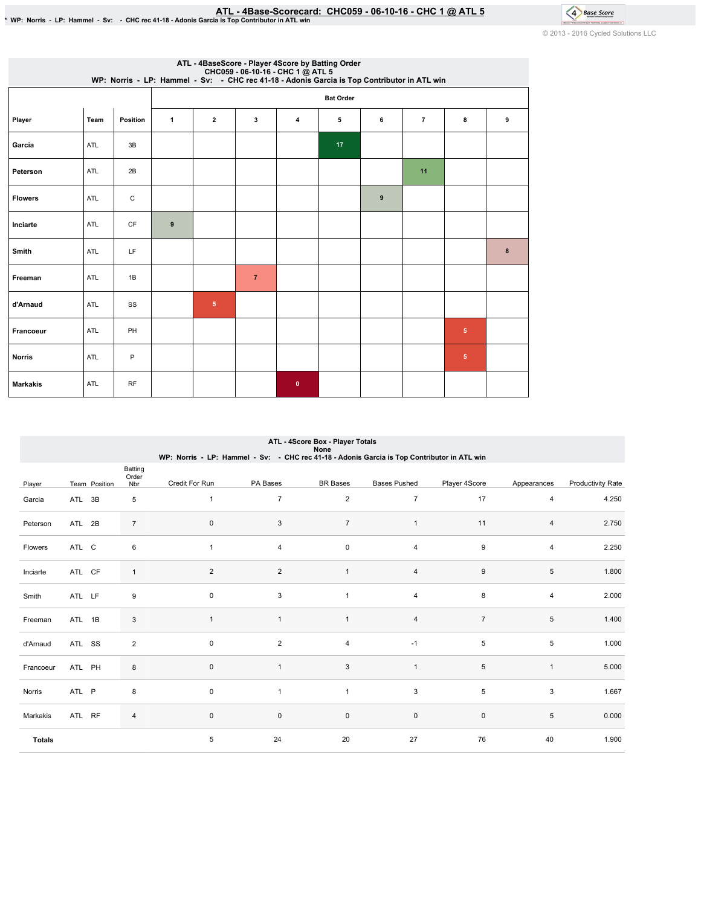# \* WP: Norris - LP: Hammel - Sv: - CHC rec 41-18 - Adonis Garcia is Top Contributor in ATL win<br>\* WP: Norris - LP: Hammel - Sv: - CHC rec 41-18 - Adonis Garcia is Top Contributor in ATL win

4 Base Score © 2013 - 2016 Cycled Solutions LLC

|                 | ATL - 4BaseScore - Player 4Score by Batting Order<br>CHC059 - 06-10-16 - CHC 1 @ ATL 5<br>WP: Norris - LP: Hammel - Sv: - CHC rec 41-18 - Adonis Garcia is Top Contributor in ATL win |              |              |                  |                |              |    |                  |                |                |   |  |  |  |
|-----------------|---------------------------------------------------------------------------------------------------------------------------------------------------------------------------------------|--------------|--------------|------------------|----------------|--------------|----|------------------|----------------|----------------|---|--|--|--|
|                 |                                                                                                                                                                                       |              |              | <b>Bat Order</b> |                |              |    |                  |                |                |   |  |  |  |
| Player          | Team                                                                                                                                                                                  | Position     | $\mathbf{1}$ | $\mathbf{2}$     | 3              | 4            | 5  | 6                | $\overline{7}$ | 8              | 9 |  |  |  |
| Garcia          | ATL                                                                                                                                                                                   | 3B           |              |                  |                |              | 17 |                  |                |                |   |  |  |  |
| Peterson        | ATL                                                                                                                                                                                   | 2B           |              |                  |                |              |    |                  | 11             |                |   |  |  |  |
| <b>Flowers</b>  | ATL                                                                                                                                                                                   | $\mathtt{C}$ |              |                  |                |              |    | $\boldsymbol{9}$ |                |                |   |  |  |  |
| Inciarte        | ATL                                                                                                                                                                                   | <b>CF</b>    | 9            |                  |                |              |    |                  |                |                |   |  |  |  |
| Smith           | ATL                                                                                                                                                                                   | LF           |              |                  |                |              |    |                  |                |                | 8 |  |  |  |
| Freeman         | ATL                                                                                                                                                                                   | 1B           |              |                  | $\overline{7}$ |              |    |                  |                |                |   |  |  |  |
| d'Arnaud        | ATL                                                                                                                                                                                   | SS           |              | $\overline{5}$   |                |              |    |                  |                |                |   |  |  |  |
| Francoeur       | ATL                                                                                                                                                                                   | PH           |              |                  |                |              |    |                  |                | $\sqrt{5}$     |   |  |  |  |
| <b>Norris</b>   | ATL                                                                                                                                                                                   | P            |              |                  |                |              |    |                  |                | 5 <sub>5</sub> |   |  |  |  |
| <b>Markakis</b> | ATL                                                                                                                                                                                   | <b>RF</b>    |              |                  |                | $\mathbf{0}$ |    |                  |                |                |   |  |  |  |

|                | ATL - 4Score Box - Player Totals<br>None |               |                  |                                                                                             |                |                 |                         |                  |                |                          |  |  |
|----------------|------------------------------------------|---------------|------------------|---------------------------------------------------------------------------------------------|----------------|-----------------|-------------------------|------------------|----------------|--------------------------|--|--|
|                |                                          |               |                  | WP: Norris - LP: Hammel - Sv: - CHC rec 41-18 - Adonis Garcia is Top Contributor in ATL win |                |                 |                         |                  |                |                          |  |  |
|                |                                          |               | Batting<br>Order |                                                                                             |                |                 |                         |                  |                |                          |  |  |
| Player         |                                          | Team Position | Nbr              | Credit For Run                                                                              | PA Bases       | <b>BR</b> Bases | <b>Bases Pushed</b>     | Player 4Score    | Appearances    | <b>Productivity Rate</b> |  |  |
| Garcia         | ATL 3B                                   |               | 5                | $\mathbf{1}$                                                                                | $\overline{7}$ | $\overline{2}$  | 7                       | 17               | 4              | 4.250                    |  |  |
| Peterson       | ATL 2B                                   |               | $\overline{7}$   | 0                                                                                           | 3              | $\overline{7}$  | $\mathbf{1}$            | 11               | 4              | 2.750                    |  |  |
| <b>Flowers</b> | ATL C                                    |               | 6                | $\mathbf{1}$                                                                                | 4              | 0               | 4                       | 9                | $\overline{4}$ | 2.250                    |  |  |
| Inciarte       | ATL CF                                   |               | $\mathbf{1}$     | 2                                                                                           | $\overline{2}$ | $\mathbf{1}$    | 4                       | $\boldsymbol{9}$ | 5              | 1.800                    |  |  |
| Smith          | ATL LF                                   |               | 9                | 0                                                                                           | 3              | $\mathbf{1}$    | $\overline{\mathbf{4}}$ | 8                | 4              | 2.000                    |  |  |
| Freeman        | ATL 1B                                   |               | 3                | $\overline{1}$                                                                              | $\mathbf{1}$   | 1               | $\overline{\mathbf{4}}$ | $\overline{7}$   | 5              | 1.400                    |  |  |
| d'Arnaud       | ATL SS                                   |               | $\overline{2}$   | $\mathbf 0$                                                                                 | $\overline{2}$ | 4               | $-1$                    | 5                | 5              | 1.000                    |  |  |
| Francoeur      | ATL PH                                   |               | 8                | $\mathbf 0$                                                                                 | $\mathbf{1}$   | $\mathbf{3}$    | $\mathbf{1}$            | 5                | $\mathbf{1}$   | 5.000                    |  |  |
| Norris         | ATL P                                    |               | 8                | $\mathbf 0$                                                                                 | $\overline{1}$ | $\mathbf{1}$    | 3                       | 5                | 3              | 1.667                    |  |  |
| Markakis       | ATL RF                                   |               | 4                | $\mathsf{O}\xspace$                                                                         | 0              | 0               | $\pmb{0}$               | $\mathbf 0$      | 5              | 0.000                    |  |  |
| <b>Totals</b>  |                                          |               |                  | 5                                                                                           | 24             | 20              | 27                      | 76               | 40             | 1.900                    |  |  |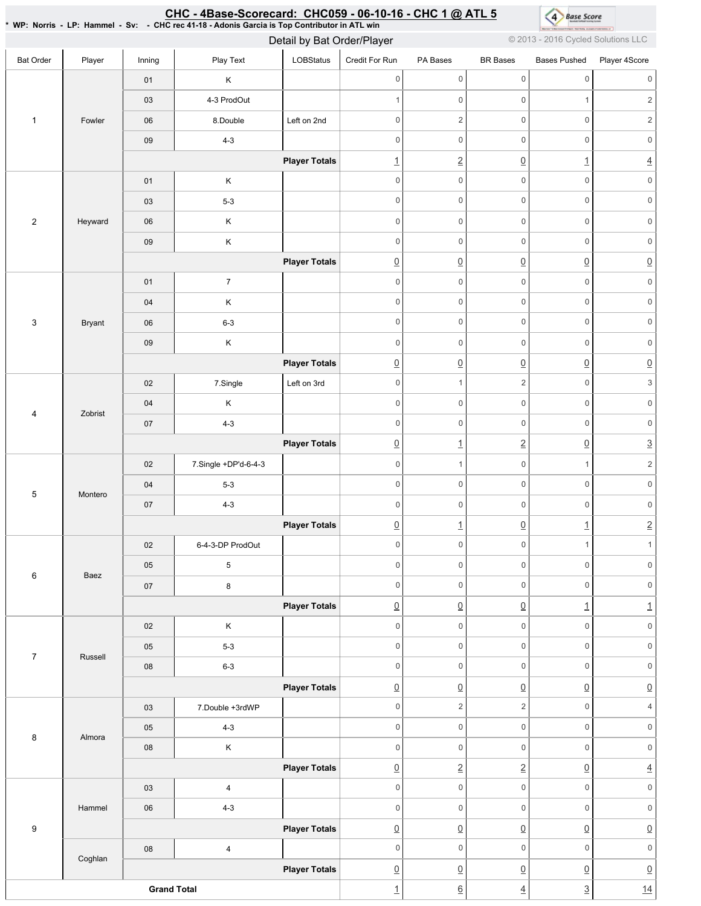### \*WP:Norris-LP:Hammel-Sv: -CHCrec41-18-AdonisGarciaisTopContributorinATLwin Bat Order | Player | Inning | PlayText | LOBStatus Credit For Run PA Bases BR Bases Bases Pushed Player 4Score 1 Fowler 01 K 03 4-3 ProdOut 06 8.Double Left on 2nd 09 4-3 **Player Totals** 2 Heyward 01 K 03 5-3 06 K 09 K **Player Totals** 3 Bryant 01 7 04 K 06 6-3 09 K **Player Totals** 4 Zobrist 02 | 7.Single | Left on 3rd 04 K 07 4-3 **Player Totals** 5 Montero 02 7.Single +DP'd-6-4-3 04 5-3 07 4-3 **Player Totals** 6 Baez 02 6-4-3-DP ProdOut 05 5 07 8 **Player Totals** 7 Russell 02 K 05 5-3 08 6-3 **Player Totals** 8 Almora 03 7.Double +3rdWP 05 4-3 08 | K **Player Totals** 9 Hammel 03 4 06 4-3 **Player Totals** Coghlan 08 4 **Player Totals Grand Total** 0 0 0 0 0 0 1 0 0 1 2 0 0 2 0 2 0 0 0 0 0 0 1 2 0 1 4 0 0 0 0 0 0 0 0 0 0 0 0 0 0 0 0 0 0 0 0 0 0 0 0 0 0 0 0 0 0 0 0 0 0 0 0 0 0 0 0 0 0 0 0 0 0 0 0 0 0 0 0 0  $\overline{0}$   $\overline{0}$   $\overline{0}$   $\overline{0}$   $\overline{0}$   $\overline{0}$   $\overline{0}$ 0 1 2 0 3 0 0 0 0 0 0 0 0 0 0 0 0  $\begin{array}{ccc} \boxed{0} & 1 & 2 & 0 & 3 \end{array}$ 0 1 0 1 2 0 0 0 0 0 0 0 0 0 0 0 0  $\boxed{0}$  1  $\boxed{0}$  1 2  $0 \qquad \qquad 0 \qquad \qquad 0 \qquad \qquad 1 \qquad \qquad 1$ 0 0 0 0 0 0 0 0 0 0 0 0  $\boxed{0}$   $\boxed{0}$   $\boxed{1}$   $\boxed{1}$ 0 0 0 0 0 0 0 0 0 0 0 0 0 0 0 0 0 0  $\begin{array}{c|c|c|c|c|c} \hline \Omega & \Omega & \Omega & \Omega \end{array} \hspace{1.5cm} \begin{array}{c|c|c} \hline \Omega & \Omega & \Omega \end{array} \hspace{1.5cm} \begin{array}{c|c|c} \hline \Omega & \Omega & \Omega \end{array} \end{array}$  $0 \qquad \qquad 2 \qquad \qquad 2 \qquad \qquad 0 \qquad \qquad 4$ 0 0 0 0 0 0 0 0 0 0 0 0 0 2 2 0 4 0 0 0 0 0 0 0 0 0 0 0 0  $\boxed{0}$   $\boxed{0}$   $\boxed{0}$   $\boxed{0}$   $\boxed{0}$ 0 0 0 0 0 0  $\overline{0}$   $\overline{0}$   $\overline{0}$   $\overline{0}$   $\overline{0}$   $\overline{0}$   $\overline{0}$ 1 6 4 3 14 Detail by Bat Order/Player **Detail by Bat Order/Player COLLC** @2013 - 2016 Cycled Solutions LLC

# <u>CHC - 4Base-Scorecard: CHC059 - 06-10-16 - CHC 1 @ ATL 5</u>

4 Base Score